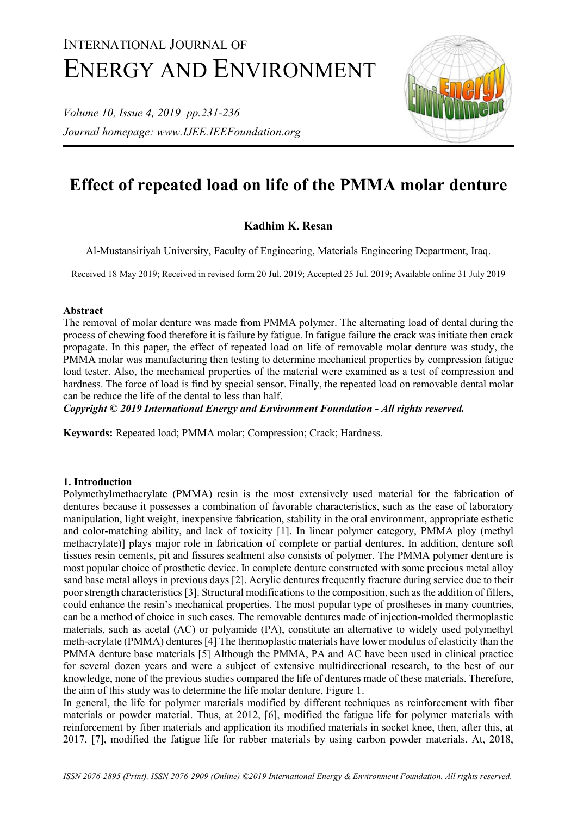# INTERNATIONAL JOURNAL OF ENERGY AND ENVIRONMENT

*Volume 10, Issue 4, 2019 pp.231-236 Journal homepage: www.IJEE.IEEFoundation.org*



# **Effect of repeated load on life of the PMMA molar denture**

# **Kadhim K. Resan**

Al-Mustansiriyah University, Faculty of Engineering, Materials Engineering Department, Iraq.

Received 18 May 2019; Received in revised form 20 Jul. 2019; Accepted 25 Jul. 2019; Available online 31 July 2019

#### **Abstract**

The removal of molar denture was made from PMMA polymer. The alternating load of dental during the process of chewing food therefore it is failure by fatigue. In fatigue failure the crack was initiate then crack propagate. In this paper, the effect of repeated load on life of removable molar denture was study, the PMMA molar was manufacturing then testing to determine mechanical properties by compression fatigue load tester. Also, the mechanical properties of the material were examined as a test of compression and hardness. The force of load is find by special sensor. Finally, the repeated load on removable dental molar can be reduce the life of the dental to less than half.

*Copyright © 2019 International Energy and Environment Foundation - All rights reserved.*

**Keywords:** Repeated load; PMMA molar; Compression; Crack; Hardness.

# **1. Introduction**

Polymethylmethacrylate (PMMA) resin is the most extensively used material for the fabrication of dentures because it possesses a combination of favorable characteristics, such as the ease of laboratory manipulation, light weight, inexpensive fabrication, stability in the oral environment, appropriate esthetic and color-matching ability, and lack of toxicity [1]. In linear polymer category, PMMA ploy (methyl methacrylate)] plays major role in fabrication of complete or partial dentures. In addition, denture soft tissues resin cements, pit and fissures sealment also consists of polymer. The PMMA polymer denture is most popular choice of prosthetic device. In complete denture constructed with some precious metal alloy sand base metal alloys in previous days [2]. Acrylic dentures frequently fracture during service due to their poor strength characteristics [3]. Structural modifications to the composition, such as the addition of fillers, could enhance the resin's mechanical properties. The most popular type of prostheses in many countries, can be a method of choice in such cases. The removable dentures made of injection-molded thermoplastic materials, such as acetal (AC) or polyamide (PA), constitute an alternative to widely used polymethyl meth-acrylate (PMMA) dentures [4] The thermoplastic materials have lower modulus of elasticity than the PMMA denture base materials [5] Although the PMMA, PA and AC have been used in clinical practice for several dozen years and were a subject of extensive multidirectional research, to the best of our knowledge, none of the previous studies compared the life of dentures made of these materials. Therefore, the aim of this study was to determine the life molar denture, Figure 1.

In general, the life for polymer materials modified by different techniques as reinforcement with fiber materials or powder material. Thus, at 2012, [6], modified the fatigue life for polymer materials with reinforcement by fiber materials and application its modified materials in socket knee, then, after this, at 2017, [7], modified the fatigue life for rubber materials by using carbon powder materials. At, 2018,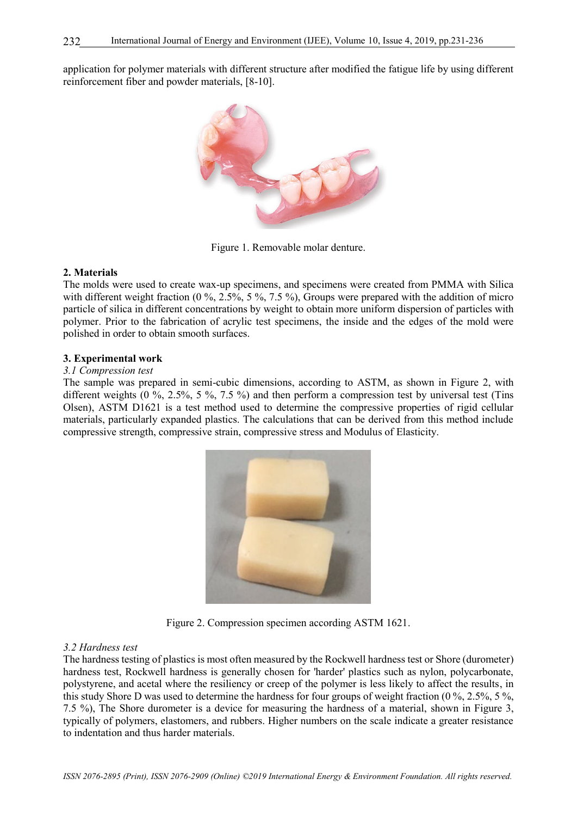application for polymer materials with different structure after modified the fatigue life by using different reinforcement fiber and powder materials, [8-10].



Figure 1. Removable molar denture.

#### **2. Materials**

The molds were used to create wax-up specimens, and specimens were created from PMMA with Silica with different weight fraction (0 %, 2.5%, 5 %, 7.5 %), Groups were prepared with the addition of micro particle of silica in different concentrations by weight to obtain more uniform dispersion of particles with polymer. Prior to the fabrication of acrylic test specimens, the inside and the edges of the mold were polished in order to obtain smooth surfaces.

#### **3. Experimental work**

#### *3.1 Compression test*

The sample was prepared in semi-cubic dimensions, according to ASTM, as shown in Figure 2, with different weights (0 %, 2.5%, 5 %, 7.5 %) and then perform a compression test by universal test (Tins Olsen), ASTM D1621 is a test method used to determine the compressive properties of rigid cellular materials, particularly expanded plastics. The calculations that can be derived from this method include compressive strength, compressive strain, compressive stress and Modulus of Elasticity.



Figure 2. Compression specimen according ASTM 1621.

#### *3.2 Hardness test*

The hardness testing of plastics is most often measured by the Rockwell hardness test or Shore (durometer) hardness test, Rockwell hardness is generally chosen for 'harder' plastics such as nylon, polycarbonate, polystyrene, and acetal where the resiliency or creep of the polymer is less likely to affect the results, in this study Shore D was used to determine the hardness for four groups of weight fraction (0 %, 2.5%, 5 %, 7.5 %), The Shore durometer is a device for measuring the hardness of a material, shown in Figure 3, typically of polymers, elastomers, and rubbers. Higher numbers on the scale indicate a greater resistance to indentation and thus harder materials.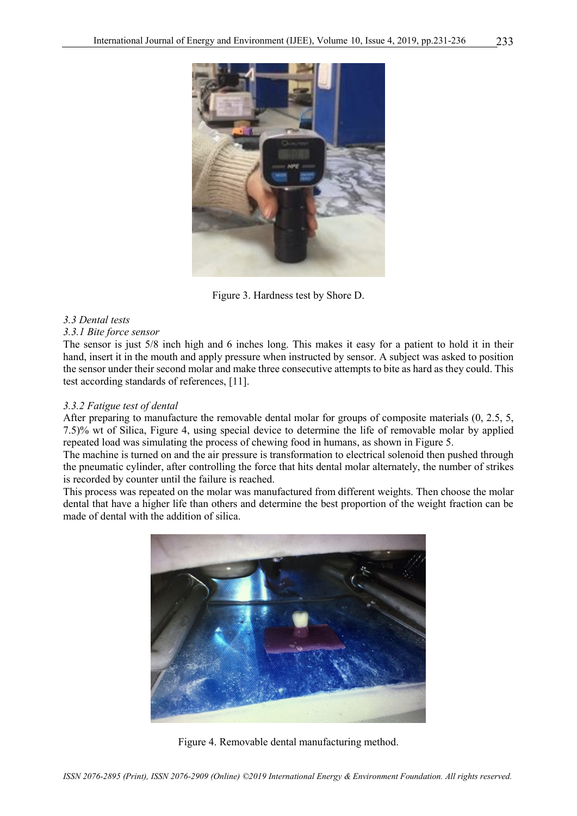

Figure 3. Hardness test by Shore D.

# *3.3 Dental tests*

#### *3.3.1 Bite force sensor*

The sensor is just 5/8 inch high and 6 inches long. This makes it easy for a patient to hold it in their hand, insert it in the mouth and apply pressure when instructed by sensor. A subject was asked to position the sensor under their second molar and make three consecutive attempts to bite as hard as they could. This test according standards of references, [11].

#### *3.3.2 Fatigue test of dental*

After preparing to manufacture the removable dental molar for groups of composite materials (0, 2.5, 5, 7.5)% wt of Silica, Figure 4, using special device to determine the life of removable molar by applied repeated load was simulating the process of chewing food in humans, as shown in Figure 5.

The machine is turned on and the air pressure is transformation to electrical solenoid then pushed through the pneumatic cylinder, after controlling the force that hits dental molar alternately, the number of strikes is recorded by counter until the failure is reached.

This process was repeated on the molar was manufactured from different weights. Then choose the molar dental that have a higher life than others and determine the best proportion of the weight fraction can be made of dental with the addition of silica.



Figure 4. Removable dental manufacturing method.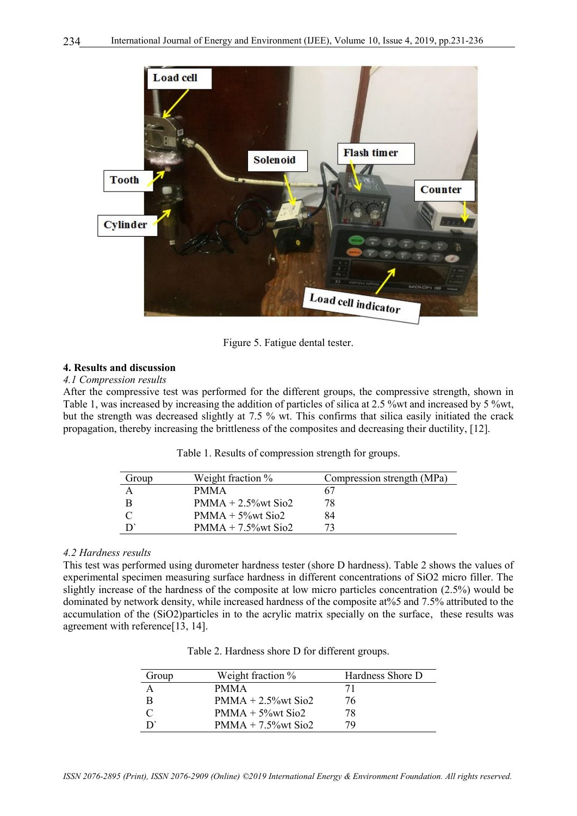

Figure 5. Fatigue dental tester.

#### **4. Results and discussion**

#### *4.1 Compression results*

After the compressive test was performed for the different groups, the compressive strength, shown in Table 1, was increased by increasing the addition of particles of silica at 2.5 %wt and increased by 5 %wt, but the strength was decreased slightly at 7.5 % wt. This confirms that silica easily initiated the crack propagation, thereby increasing the brittleness of the composites and decreasing their ductility, [12].

|  | Table 1. Results of compression strength for groups. |  |  |
|--|------------------------------------------------------|--|--|
|  |                                                      |  |  |

| Group | Weight fraction %      | Compression strength (MPa) |
|-------|------------------------|----------------------------|
|       | <b>PMMA</b>            | 67                         |
|       | $PMMA + 2.5\%$ wt Sio2 | 78                         |
|       | $PMMA + 5\%wt$ Sio2    | 84                         |
|       | $PMMA + 7.5\%$ wt Sio2 | 72                         |

#### *4.2 Hardness results*

This test was performed using durometer hardness tester (shore D hardness). Table 2 shows the values of experimental specimen measuring surface hardness in different concentrations of SiO2 micro filler. The slightly increase of the hardness of the composite at low micro particles concentration (2.5%) would be dominated by network density, while increased hardness of the composite at%5 and 7.5% attributed to the accumulation of the (SiO2)particles in to the acrylic matrix specially on the surface, these results was agreement with reference[13, 14].

| Group | Weight fraction %      | Hardness Shore D |
|-------|------------------------|------------------|
|       | <b>PMMA</b>            |                  |
| B     | $PMMA + 2.5\%$ wt Sio2 | 76               |
|       | $PMMA + 5\%wt$ Sio2    | 78               |
|       | $PMMA + 7.5%$ wt Sio2  | 79               |

| Table 2. Hardness shore D for different groups. |  |  |  |  |
|-------------------------------------------------|--|--|--|--|
|-------------------------------------------------|--|--|--|--|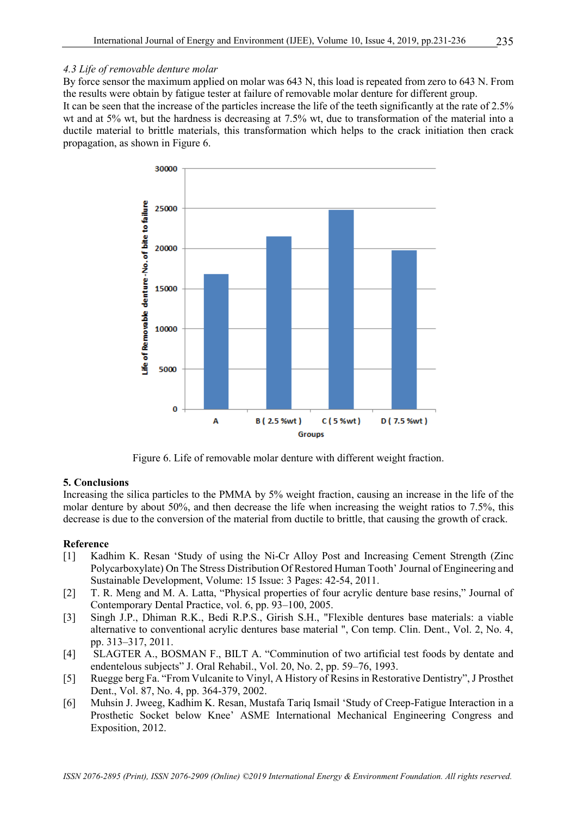By force sensor the maximum applied on molar was 643 N, this load is repeated from zero to 643 N. From the results were obtain by fatigue tester at failure of removable molar denture for different group.

It can be seen that the increase of the particles increase the life of the teeth significantly at the rate of 2.5% wt and at 5% wt, but the hardness is decreasing at 7.5% wt, due to transformation of the material into a ductile material to brittle materials, this transformation which helps to the crack initiation then crack propagation, as shown in Figure 6.



Figure 6. Life of removable molar denture with different weight fraction.

# **5. Conclusions**

Increasing the silica particles to the PMMA by 5% weight fraction, causing an increase in the life of the molar denture by about 50%, and then decrease the life when increasing the weight ratios to 7.5%, this decrease is due to the conversion of the material from ductile to brittle, that causing the growth of crack.

# **Reference**

- [1] Kadhim K. Resan 'Study of using the Ni-Cr Alloy Post and Increasing Cement Strength (Zinc Polycarboxylate) On The Stress Distribution Of Restored Human Tooth' Journal of Engineering and Sustainable Development, Volume: 15 [Issue: 3](https://www.iasj.net/iasj?func=issueTOC&isId=1575) Pages: 42-54, 2011.
- [2] T. R. Meng and M. A. Latta, "Physical properties of four acrylic denture base resins," Journal of Contemporary Dental Practice, vol. 6, pp. 93–100, 2005.
- [3] Singh J.P., Dhiman R.K., Bedi R.P.S., Girish S.H., "Flexible dentures base materials: a viable alternative to conventional acrylic dentures base material ", Con temp. Clin. Dent., Vol. 2, No. 4, pp. 313–317, 2011.
- [4] SLAGTER A., BOSMAN F., BILT A. "Comminution of two artificial test foods by dentate and endentelous subjects" J. Oral Rehabil., Vol. 20, No. 2, pp. 59–76, 1993.
- [5] Ruegge berg Fa. "From Vulcanite to Vinyl, A History of Resins in Restorative Dentistry", J Prosthet Dent., Vol. 87, No. 4, pp. 364-379, 2002.
- [6] Muhsin J. Jweeg, Kadhim K. Resan, Mustafa Tariq Ismail 'Study of Creep-Fatigue Interaction in a Prosthetic Socket below Knee' ASME International Mechanical Engineering Congress and Exposition, 2012.